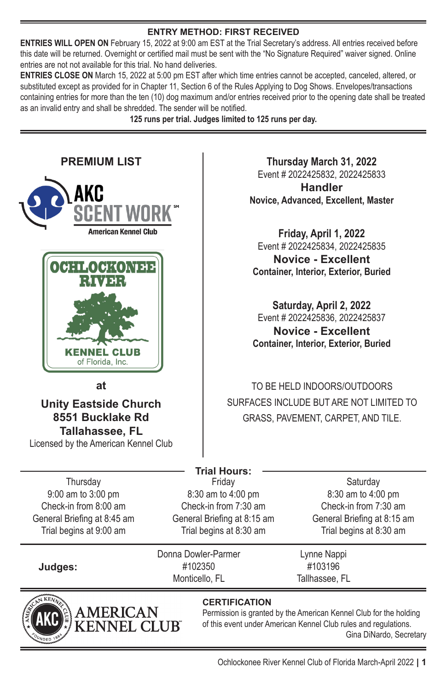#### **ENTRY METHOD: FIRST RECEIVED**

**ENTRIES WILL OPEN ON** February 15, 2022 at 9:00 am EST at the Trial Secretary's address. All entries received before this date will be returned. Overnight or certified mail must be sent with the "No Signature Required" waiver signed. Online entries are not not available for this trial. No hand deliveries.

**ENTRIES CLOSE ON** March 15, 2022 at 5:00 pm EST after which time entries cannot be accepted, canceled, altered, or substituted except as provided for in Chapter 11, Section 6 of the Rules Applying to Dog Shows. Envelopes/transactions containing entries for more than the ten (10) dog maximum and/or entries received prior to the opening date shall be treated as an invalid entry and shall be shredded. The sender will be notified.

**125 runs per trial. Judges limited to 125 runs per day.** 



**Thursday March 31, 2022**  Event # 2022425832, 2022425833

**Handler Novice, Advanced, Excellent, Master**

**Friday, April 1, 2022**  Event # 2022425834, 2022425835

**Novice - Excellent Container, Interior, Exterior, Buried**

**Saturday, April 2, 2022**  Event # 2022425836, 2022425837 **Novice - Excellent Container, Interior, Exterior, Buried**

TO BE HELD INDOORS/OUTDOORS SURFACES INCLUDE BUT ARE NOT LIMITED TO GRASS, PAVEMENT, CARPET, AND TILE.

|        | Saturday                    |
|--------|-----------------------------|
| pm     | 8:30 am to 4:00 pm          |
| ) am   | Check-in from 7:30 am       |
| :15 am | General Briefing at 8:15 am |
| ) am   | Trial begins at 8:30 am     |
|        |                             |

Lynne Nappi #103196 Tallhassee, FL

# **JNEL CLUR**

#### **CERTIFICATION**

Permission is granted by the American Kennel Club for the holding of this event under American Kennel Club rules and regulations. Gina DiNardo, Secretary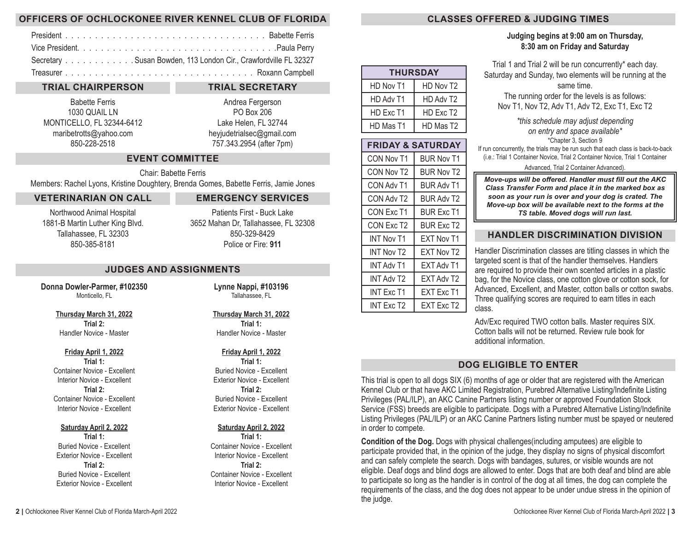## **OFFICERS OF OCHLOCKONEE RIVER KENNEL CLUB OF FLORIDA**

| Secretary Susan Bowden, 113 London Cir., Crawfordville FL 32327 |
|-----------------------------------------------------------------|
|                                                                 |

## **TRIAL CHAIRPERSON**

Babette Ferris 1030 QUAIL LN MONTICELLO, FL 32344-6412 maribetrotts@yahoo.com 850-228-2518

#### **TRIAL SECRETARY**

Andrea Fergerson PO Box 206 Lake Helen, FL 32744 heyjudetrialsec@gmail.com 757.343.2954 (after 7pm)

## **EVENT COMMITTEE**

Chair: Babette Ferris Members: Rachel Lyons, Kristine Doughtery, Brenda Gomes, Babette Ferris, Jamie Jones

#### **VETERINARIAN ON CALL**

Northwood Animal Hospital 1881-B Martin Luther King Blvd. Tallahassee, FL 32303 850-385-8181

**EMERGENCY SERVICES**  Patients First - Buck Lake

3652 Mahan Dr, Tallahassee, FL 32308 850-329-8429 Police or Fire: **911**

#### **JUDGES AND ASSIGNMENTS**

**Donna Dowler-Parmer, #102350** Monticello, FL

> **Thursday March 31, 2022 Trial 2:** Handler Novice - Master

#### **Friday April 1, 2022**

**Trial 1:** Container Novice - Excellent Interior Novice - Excellent **Trial 2:** Container Novice - Excellent Interior Novice - Excellent

#### **Saturday April 2, 2022**

**Trial 1:** Buried Novice - Excellent Exterior Novice - Excellent **Trial 2:** Buried Novice - Excellent Exterior Novice - Excellent **Lynne Nappi, #103196** Tallahassee, FL

#### **Thursday March 31, 2022 Trial 1:** Handler Novice - Master

#### **Friday April 1, 2022**

**Trial 1:** Buried Novice - Excellent Exterior Novice - Excellent **Trial 2:** Buried Novice - Excellent Exterior Novice - Excellent

## **Saturday April 2, 2022**

**Trial 1:** Container Novice - Excellent Interior Novice - Excellent **Trial 2:** Container Novice - Excellent Interior Novice - Excellent

| <b>THURSDAY</b> |                       |  |  |  |  |  |  |  |  |  |
|-----------------|-----------------------|--|--|--|--|--|--|--|--|--|
| HD Nov T1       | HD Nov T <sub>2</sub> |  |  |  |  |  |  |  |  |  |
| HD Adv T1       | HD Adv T <sub>2</sub> |  |  |  |  |  |  |  |  |  |
| HD Exc T1       | HD Exc T <sub>2</sub> |  |  |  |  |  |  |  |  |  |
| HD Mas T1       | HD Mas T <sub>2</sub> |  |  |  |  |  |  |  |  |  |

| <b>FRIDAY &amp; SATURDAY</b> |                   |  |  |  |  |  |  |  |  |
|------------------------------|-------------------|--|--|--|--|--|--|--|--|
| CON Nov T1                   | <b>BUR Nov T1</b> |  |  |  |  |  |  |  |  |
| CON Nov T <sub>2</sub>       | <b>BUR Nov T2</b> |  |  |  |  |  |  |  |  |
| CON Adv T1                   | <b>BUR Adv T1</b> |  |  |  |  |  |  |  |  |
| CON Adv T2                   | <b>BUR Adv T2</b> |  |  |  |  |  |  |  |  |
| CON Exc T1                   | <b>BUR Exc T1</b> |  |  |  |  |  |  |  |  |
| CON Exc T2                   | BUR Exc T2        |  |  |  |  |  |  |  |  |
| <b>INT Nov T1</b>            | <b>EXT Nov T1</b> |  |  |  |  |  |  |  |  |
| <b>INT Nov T2</b>            | <b>EXT Nov T2</b> |  |  |  |  |  |  |  |  |
| INT Adv T1                   | EXT Adv T1        |  |  |  |  |  |  |  |  |
| <b>INT Adv T2</b>            | <b>EXT Adv T2</b> |  |  |  |  |  |  |  |  |
| INT Exc T1                   | <b>FXT Exc T1</b> |  |  |  |  |  |  |  |  |
| INT Exc T2                   | EXT Exc T2        |  |  |  |  |  |  |  |  |

## **CLASSES OFFERED & JUDGING TIMES**

## **Judging begins at 9:00 am on Thursday, 8:30 am on Friday and Saturday**

Trial 1 and Trial 2 will be run concurrently\* each day. Saturday and Sunday, two elements will be running at the same time. The running order for the levels is as follows:

Nov T1, Nov T2, Adv T1, Adv T2, Exc T1, Exc T2

*\*this schedule may adjust depending on entry and space available\** \*Chapter 3, Section 9

If run concurrently, the trials may be run such that each class is back-to-back (i.e.: Trial 1 Container Novice, Trial 2 Container Novice, Trial 1 Container

#### Advanced, Trial 2 Container Advanced).

*Move-ups will be offered. Handler must fill out the AKC Class Transfer Form and place it in the marked box as soon as your run is over and your dog is crated. The Move-up box will be available next to the forms at the TS table. Moved dogs will run last.* 

## **HANDLER DISCRIMINATION DIVISION**

Handler Discrimination classes are titling classes in which the targeted scent is that of the handler themselves. Handlers are required to provide their own scented articles in a plastic bag, for the Novice class, one cotton glove or cotton sock, for Advanced, Excellent, and Master, cotton balls or cotton swabs. Three qualifying scores are required to earn titles in each class.

Adv/Exc required TWO cotton balls. Master requires SIX. Cotton balls will not be returned. Review rule book for additional information.

## **DOG ELIGIBLE TO ENTER**

This trial is open to all dogs SIX (6) months of age or older that are registered with the American Kennel Club or that have AKC Limited Registration, Purebred Alternative Listing/Indefinite Listing Privileges (PAL/ILP), an AKC Canine Partners listing number or approved Foundation Stock Service (FSS) breeds are eligible to participate. Dogs with a Purebred Alternative Listing/Indefinite Listing Privileges (PAL/ILP) or an AKC Canine Partners listing number must be spayed or neutered in order to compete.

**Condition of the Dog.** Dogs with physical challenges(including amputees) are eligible to participate provided that, in the opinion of the judge, they display no signs of physical discomfort and can safely complete the search. Dogs with bandages, sutures, or visible wounds are not eligible. Deaf dogs and blind dogs are allowed to enter. Dogs that are both deaf and blind are able to participate so long as the handler is in control of the dog at all times, the dog can complete the requirements of the class, and the dog does not appear to be under undue stress in the opinion of the judge.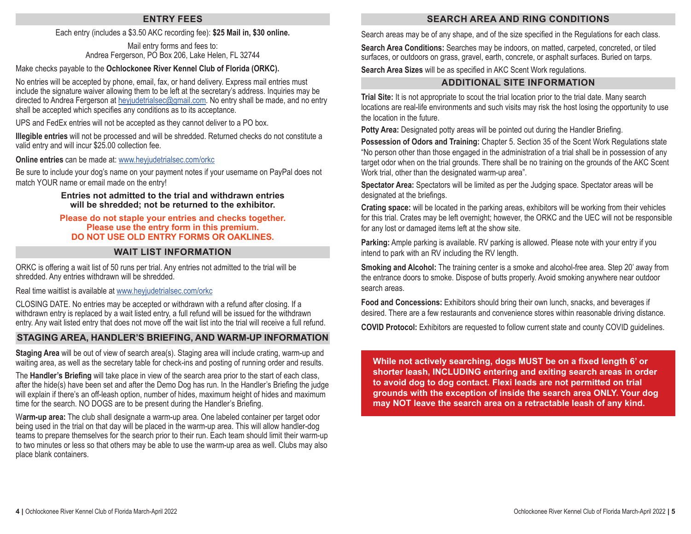## **ENTRY FEES**

#### Each entry (includes a \$3.50 AKC recording fee): **\$25 Mail in, \$30 online.**

#### Mail entry forms and fees to: Andrea Fergerson, PO Box 206, Lake Helen, FL 32744

#### Make checks payable to the **Ochlockonee River Kennel Club of Florida (ORKC).**

No entries will be accepted by phone, email, fax, or hand delivery. Express mail entries must include the signature waiver allowing them to be left at the secretary's address. Inquiries may be directed to Andrea Fergerson at [heyjudetrialsec@gmail.com](mailto:heyjudetrialsec%40gmail.com?subject=OCOD%20Sept%20Scentwork%20Inquiry). No entry shall be made, and no entry shall be accepted which specifies any conditions as to its acceptance.

UPS and FedEx entries will not be accepted as they cannot deliver to a PO box.

**Illegible entries** will not be processed and will be shredded. Returned checks do not constitute a valid entry and will incur \$25.00 collection fee.

**Online entries** can be made at: [www.heyjudetrialsec.com/orkc](http://www.heyjudetrialsec.com/orkc)

Be sure to include your dog's name on your payment notes if your username on PayPal does not match YOUR name or email made on the entry!

#### **Entries not admitted to the trial and withdrawn entries will be shredded; not be returned to the exhibitor.**

#### **Please do not staple your entries and checks together. Please use the entry form in this premium. DO NOT USE OLD ENTRY FORMS OR OAKLINES.**

#### **WAIT LIST INFORMATION**

ORKC is offering a wait list of 50 runs per trial. Any entries not admitted to the trial will be shredded. Any entries withdrawn will be shredded.

#### Real time waitlist is available at [www.heyjudetrialsec.com/orkc](http://www.heyjudetrialsec.com/orkc)

CLOSING DATE. No entries may be accepted or withdrawn with a refund after closing. If a withdrawn entry is replaced by a wait listed entry, a full refund will be issued for the withdrawn entry. Any wait listed entry that does not move off the wait list into the trial will receive a full refund.

## **STAGING AREA, HANDLER'S BRIEFING, AND WARM-UP INFORMATION**

**Staging Area** will be out of view of search area(s). Staging area will include crating, warm-up and waiting area, as well as the secretary table for check-ins and posting of running order and results.

The **Handler's Briefing** will take place in view of the search area prior to the start of each class, after the hide(s) have been set and after the Demo Dog has run. In the Handler's Briefing the judge will explain if there's an off-leash option, number of hides, maximum height of hides and maximum time for the search. NO DOGS are to be present during the Handler's Briefing.

W**arm-up area:** The club shall designate a warm-up area. One labeled container per target odor being used in the trial on that day will be placed in the warm-up area. This will allow handler-dog teams to prepare themselves for the search prior to their run. Each team should limit their warm-up to two minutes or less so that others may be able to use the warm-up area as well. Clubs may also place blank containers.

## **SEARCH AREA AND RING CONDITIONS**

Search areas may be of any shape, and of the size specified in the Regulations for each class.

**Search Area Conditions:** Searches may be indoors, on matted, carpeted, concreted, or tiled surfaces, or outdoors on grass, gravel, earth, concrete, or asphalt surfaces. Buried on tarps.

**Search Area Sizes** will be as specified in AKC Scent Work regulations.

## **ADDITIONAL SITE INFORMATION**

**Trial Site:** It is not appropriate to scout the trial location prior to the trial date. Many search locations are real-life environments and such visits may risk the host losing the opportunity to use the location in the future.

**Potty Area:** Designated potty areas will be pointed out during the Handler Briefing.

**Possession of Odors and Training:** Chapter 5. Section 35 of the Scent Work Regulations state "No person other than those engaged in the administration of a trial shall be in possession of any target odor when on the trial grounds. There shall be no training on the grounds of the AKC Scent Work trial, other than the designated warm-up area".

**Spectator Area:** Spectators will be limited as per the Judging space. Spectator areas will be designated at the briefings.

**Crating space:** will be located in the parking areas, exhibitors will be working from their vehicles for this trial. Crates may be left overnight; however, the ORKC and the UEC will not be responsible for any lost or damaged items left at the show site.

**Parking:** Ample parking is available. RV parking is allowed. Please note with your entry if you intend to park with an RV including the RV length.

**Smoking and Alcohol:** The training center is a smoke and alcohol-free area. Step 20' away from the entrance doors to smoke. Dispose of butts properly. Avoid smoking anywhere near outdoor search areas.

**Food and Concessions:** Exhibitors should bring their own lunch, snacks, and beverages if desired. There are a few restaurants and convenience stores within reasonable driving distance.

**COVID Protocol:** Exhibitors are requested to follow current state and county COVID guidelines.

**While not actively searching, dogs MUST be on a fixed length 6' or shorter leash, INCLUDING entering and exiting search areas in order to avoid dog to dog contact. Flexi leads are not permitted on trial grounds with the exception of inside the search area ONLY. Your dog may NOT leave the search area on a retractable leash of any kind.**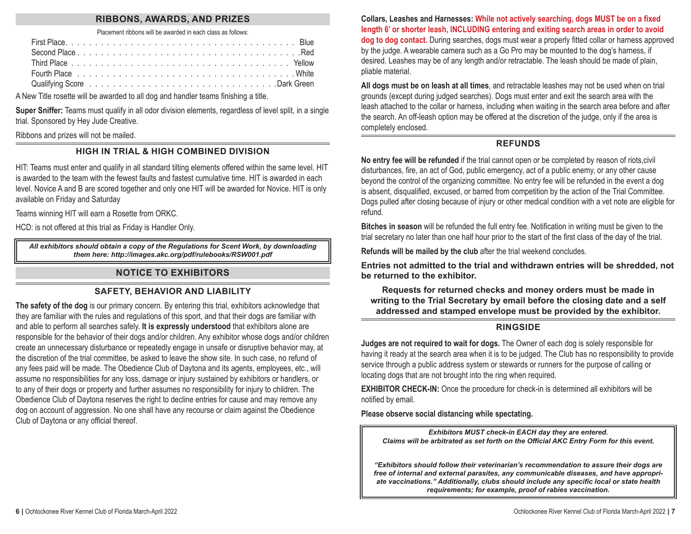## **RIBBONS, AWARDS, AND PRIZES**

#### Placement ribbons will be awarded in each class as follows:

| Fourth Place business is a series of the series of the series of the series of the Place of the series of the P |  |  |  |  |  |  |  |  |  |  |  |  |  |  |  |  |  |  |
|-----------------------------------------------------------------------------------------------------------------|--|--|--|--|--|--|--|--|--|--|--|--|--|--|--|--|--|--|
|                                                                                                                 |  |  |  |  |  |  |  |  |  |  |  |  |  |  |  |  |  |  |

A New Title rosette will be awarded to all dog and handler teams finishing a title.

**Super Sniffer:** Teams must qualify in all odor division elements, regardless of level split, in a single trial. Sponsored by Hey Jude Creative.

## Ribbons and prizes will not be mailed.

## **HIGH IN TRIAL & HIGH COMBINED DIVISION**

HIT: Teams must enter and qualify in all standard tilting elements offered within the same level. HIT is awarded to the team with the fewest faults and fastest cumulative time. HIT is awarded in each level. Novice A and B are scored together and only one HIT will be awarded for Novice. HIT is only available on Friday and Saturday

Teams winning HIT will earn a Rosette from ORKC.

HCD: is not offered at this trial as Friday is Handler Only.

*All exhibitors should obtain a copy of the Regulations for Scent Work, by downloading them here: [http://images.akc.org/pdf/rulebooks/RSW001.pdf](http://images.akc.org/pdf/rulebooks/RSW001.pdf )* 

## **NOTICE TO EXHIBITORS**

## **SAFETY, BEHAVIOR AND LIABILITY**

**The safety of the dog** is our primary concern. By entering this trial, exhibitors acknowledge that they are familiar with the rules and regulations of this sport, and that their dogs are familiar with and able to perform all searches safely. **It is expressly understood** that exhibitors alone are responsible for the behavior of their dogs and/or children. Any exhibitor whose dogs and/or children create an unnecessary disturbance or repeatedly engage in unsafe or disruptive behavior may, at the discretion of the trial committee, be asked to leave the show site. In such case, no refund of any fees paid will be made. The Obedience Club of Daytona and its agents, employees, etc., will assume no responsibilities for any loss, damage or injury sustained by exhibitors or handlers, or to any of their dogs or property and further assumes no responsibility for injury to children. The Obedience Club of Daytona reserves the right to decline entries for cause and may remove any dog on account of aggression. No one shall have any recourse or claim against the Obedience Club of Daytona or any official thereof.

**Collars, Leashes and Harnesses: While not actively searching, dogs MUST be on a fixed length 6' or shorter leash, INCLUDING entering and exiting search areas in order to avoid dog to dog contact.** During searches, dogs must wear a properly fitted collar or harness approved by the judge. A wearable camera such as a Go Pro may be mounted to the dog's harness, if desired. Leashes may be of any length and/or retractable. The leash should be made of plain, pliable material.

**All dogs must be on leash at all times**, and retractable leashes may not be used when on trial grounds (except during judged searches). Dogs must enter and exit the search area with the leash attached to the collar or harness, including when waiting in the search area before and after the search. An off-leash option may be offered at the discretion of the judge, only if the area is completely enclosed.

## **REFUNDS**

**No entry fee will be refunded** if the trial cannot open or be completed by reason of riots,civil disturbances, fire, an act of God, public emergency, act of a public enemy, or any other cause beyond the control of the organizing committee. No entry fee will be refunded in the event a dog is absent, disqualified, excused, or barred from competition by the action of the Trial Committee. Dogs pulled after closing because of injury or other medical condition with a vet note are eligible for refund.

**Bitches in season** will be refunded the full entry fee. Notification in writing must be given to the trial secretary no later than one half hour prior to the start of the first class of the day of the trial.

**Refunds will be mailed by the club** after the trial weekend concludes.

**Entries not admitted to the trial and withdrawn entries will be shredded, not be returned to the exhibitor.**

**Requests for returned checks and money orders must be made in writing to the Trial Secretary by email before the closing date and a self addressed and stamped envelope must be provided by the exhibitor.**

## **RINGSIDE**

**Judges are not required to wait for dogs.** The Owner of each dog is solely responsible for having it ready at the search area when it is to be judged. The Club has no responsibility to provide service through a public address system or stewards or runners for the purpose of calling or locating dogs that are not brought into the ring when required.

**EXHIBITOR CHECK-IN:** Once the procedure for check-in is determined all exhibitors will be notified by email.

**Please observe social distancing while spectating.**

*Exhibitors MUST check-in EACH day they are entered. Claims will be arbitrated as set forth on the Official AKC Entry Form for this event.*

*"Exhibitors should follow their veterinarian's recommendation to assure their dogs are free of internal and external parasites, any communicable diseases, and have appropriate vaccinations." Additionally, clubs should include any specific local or state health requirements; for example, proof of rabies vaccination.*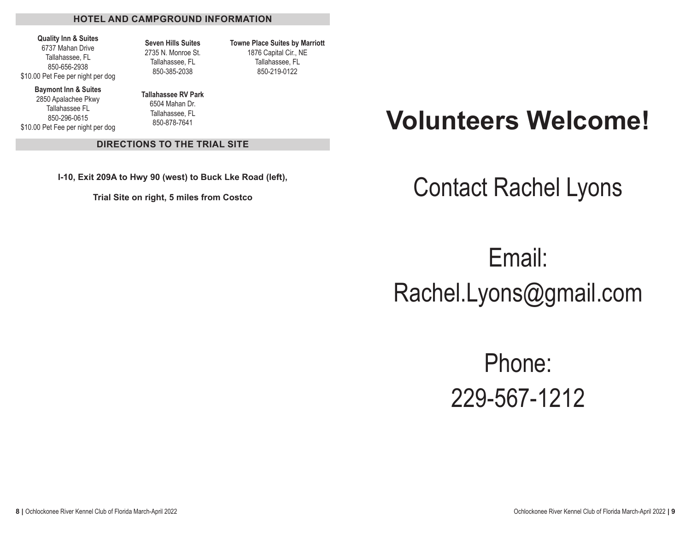#### **HOTEL AND CAMPGROUND INFORMATION**

#### **Quality Inn & Suites** 6737 Mahan Drive Tallahassee, FL 850-656-2938 \$10.00 Pet Fee per night per dog

**Seven Hills Suites** 2735 N. Monroe St. Tallahassee, FL 850-385-2038

**Towne Place Suites by Marriott** 1876 Capital Cir., NE Tallahassee, FL 850-219-0122

**Baymont Inn & Suites**

2850 Apalachee Pkwy Tallahassee FL 850-296-0615 \$10.00 Pet Fee per night per dog **Tallahassee RV Park** 6504 Mahan Dr. Tallahassee, FL 850-878-7641

#### **DIRECTIONS TO THE TRIAL SITE**

**I-10, Exit 209A to Hwy 90 (west) to Buck Lke Road (left),** 

**Trial Site on right, 5 miles from Costco**

## **Volunteers Welcome!**

## Contact Rachel Lyons

Email: Rachel.Lyons@gmail.com

> Phone: 229-567-1212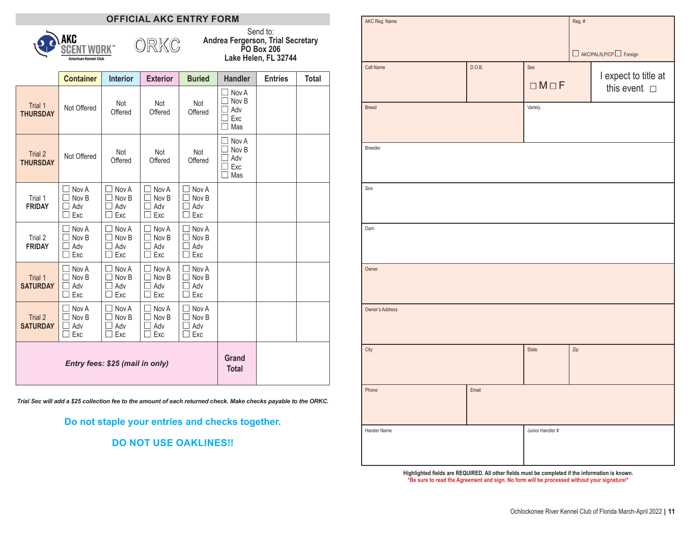## **OFFICIAL AKC ENTRY FORM**

ORKC



Send to: **Andrea Fergerson, Trial Secretary PO Box 206 Lake Helen, FL 32744**

|                            | <b>Container</b>                | <b>Interior</b>              | <b>Exterior</b>              | <b>Buried</b>                | <b>Handler</b>                      | <b>Entries</b> | Total |
|----------------------------|---------------------------------|------------------------------|------------------------------|------------------------------|-------------------------------------|----------------|-------|
| Trial 1<br><b>THURSDAY</b> | Not Offered                     | Not<br>Offered               | Not<br>Offered               | Not<br>Offered               | Nov A<br>Nov B<br>Adv<br>Exc<br>Mas |                |       |
| Trial 2<br><b>THURSDAY</b> | Not Offered                     | Not<br>Offered               | Not<br>Offered               | Not<br>Offered               | Nov A<br>Nov B<br>Adv<br>Exc<br>Mas |                |       |
| Trial 1<br><b>FRIDAY</b>   | Nov A<br>Nov B<br>Adv<br>Exc    | Nov A<br>Nov B<br>Adv<br>Exc | Nov A<br>Nov B<br>Adv<br>Exc | Nov A<br>Nov B<br>Adv<br>Exc |                                     |                |       |
| Trial 2<br><b>FRIDAY</b>   | Nov A<br>Nov B<br>Adv<br>Exc    | Nov A<br>Nov B<br>Adv<br>Exc | Nov A<br>Nov B<br>Adv<br>Exc | Nov A<br>Nov B<br>Adv<br>Exc |                                     |                |       |
| Trial 1<br><b>SATURDAY</b> | Nov A<br>Nov B<br>Adv<br>Exc    | Nov A<br>Nov B<br>Adv<br>Exc | Nov A<br>Nov B<br>Adv<br>Exc | Nov A<br>Nov B<br>Adv<br>Exc |                                     |                |       |
| Trial 2<br><b>SATURDAY</b> | Nov A<br>Nov B<br>Adv<br>Exc    | Nov A<br>Nov B<br>Adv<br>Exc | Nov A<br>Nov B<br>Adv<br>Exc | Nov A<br>Nov B<br>Adv<br>Exc |                                     |                |       |
|                            | Entry fees: \$25 (mail in only) | Grand<br><b>Total</b>        |                              |                              |                                     |                |       |

*Trial Sec will add a \$25 collection fee to the amount of each returned check. Make checks payable to the ORKC.*

**Do not staple your entries and checks together.** 

**DO NOT USE OAKLINES!!**

| AKC Reg. Name   |        |                        | Reg.# | $\Box$ AKC/PAL/ILP/CP $\Box$ Foreign          |
|-----------------|--------|------------------------|-------|-----------------------------------------------|
| Call Name       | D.O.B. | Sex<br>$\Box M \Box F$ |       | I expect to title at<br>this event. $\square$ |
| <b>Breed</b>    |        | Variety                |       |                                               |
| Breeder         |        |                        |       |                                               |
| Sire            |        |                        |       |                                               |
| Dam             |        |                        |       |                                               |
| Owner           |        |                        |       |                                               |
| Owner's Address |        |                        |       |                                               |
| City            |        | State                  | Zip   |                                               |
| Phone           | Email  |                        |       |                                               |
| Hander Name     |        | Junior Handler #       |       |                                               |

**Highlighted fields are REQUIRED. All other fields must be completed if the information is known. \*Be sure to read the Agreement and sign. No form will be processed without your signature!\***